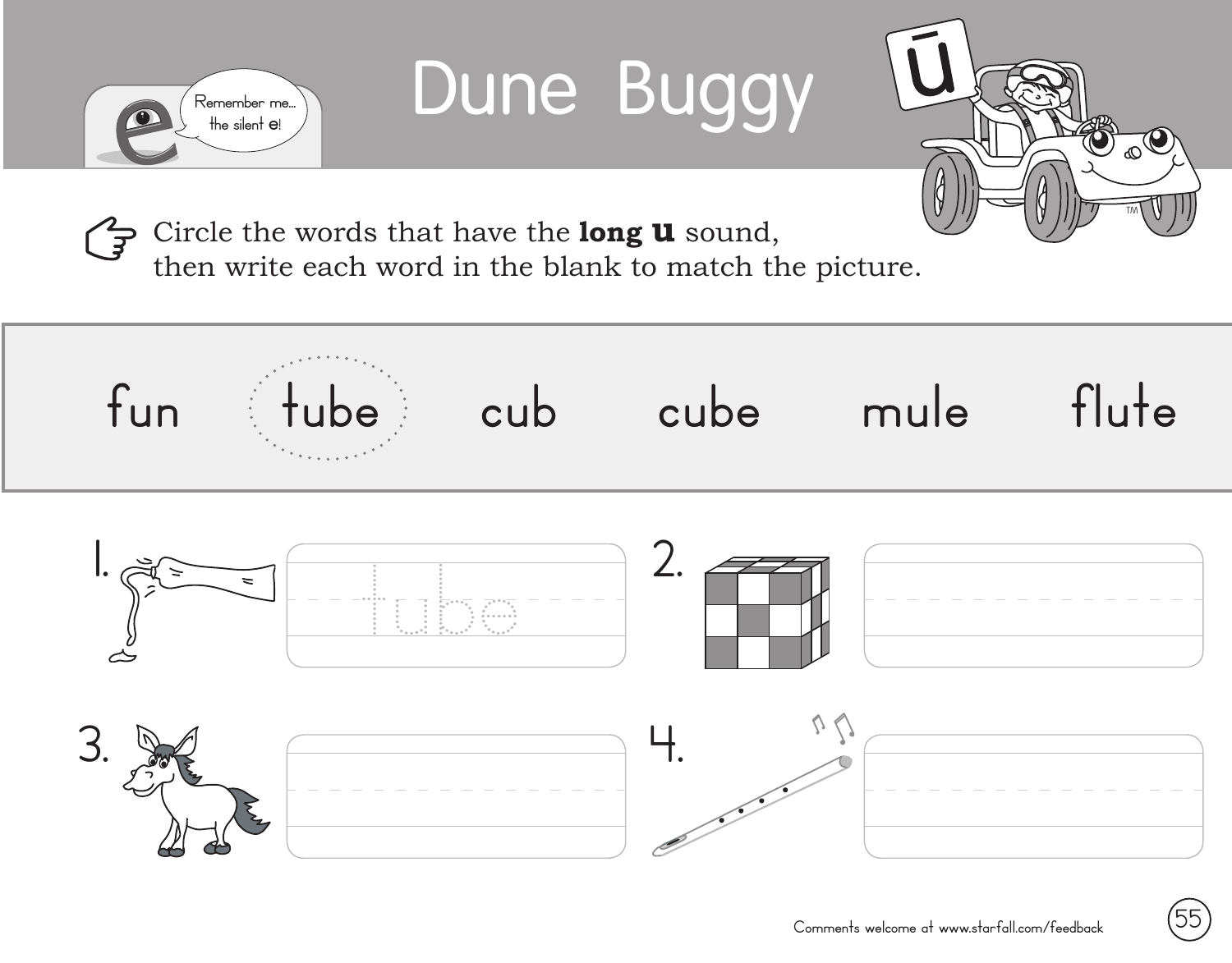

## Dune Buggy



Circle the words that have the **long u** sound,  $\mathbb{F}$ 

then write each word in the blank to match the picture.

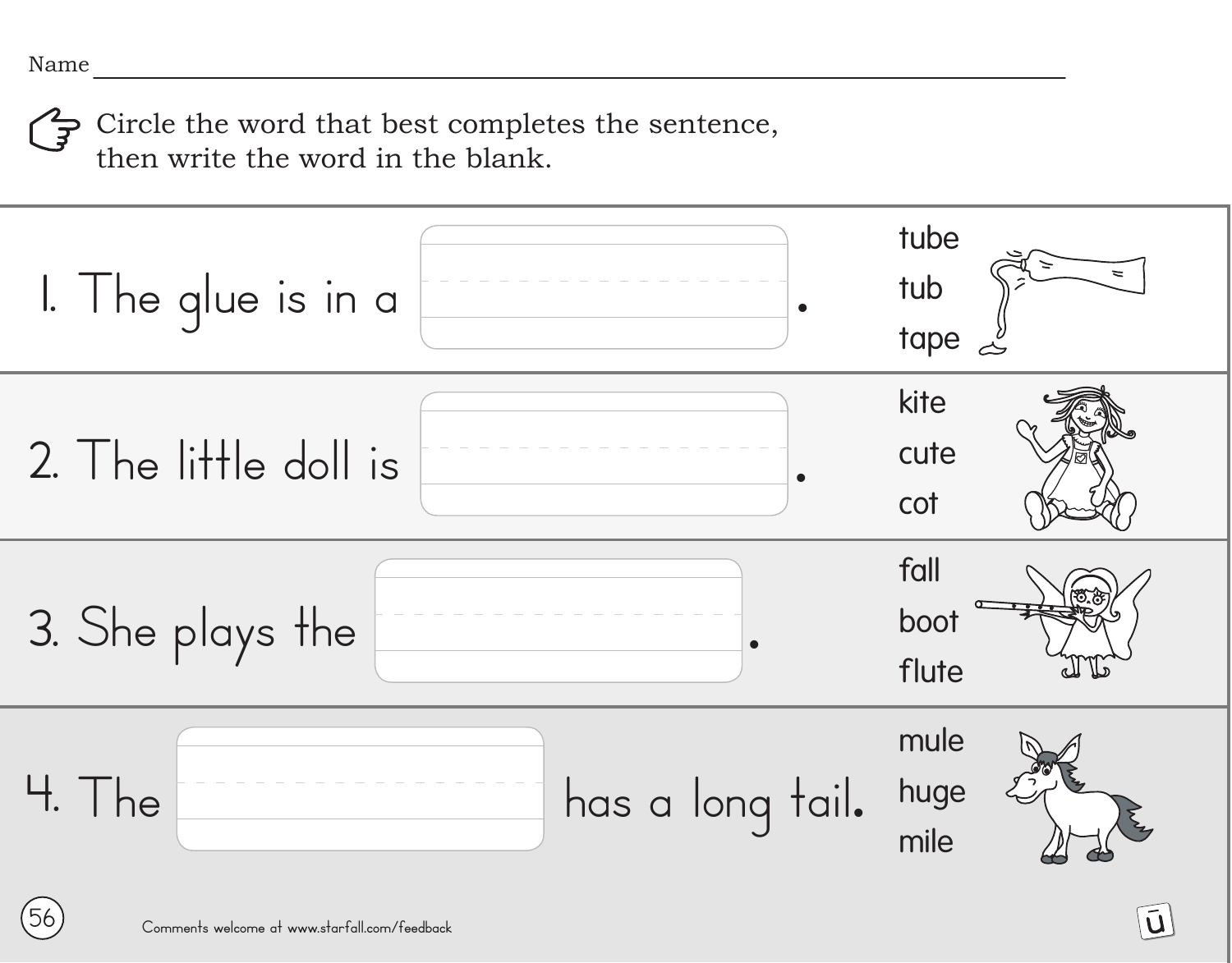Circle the word that best completes the sentence, then write the word in the blank.

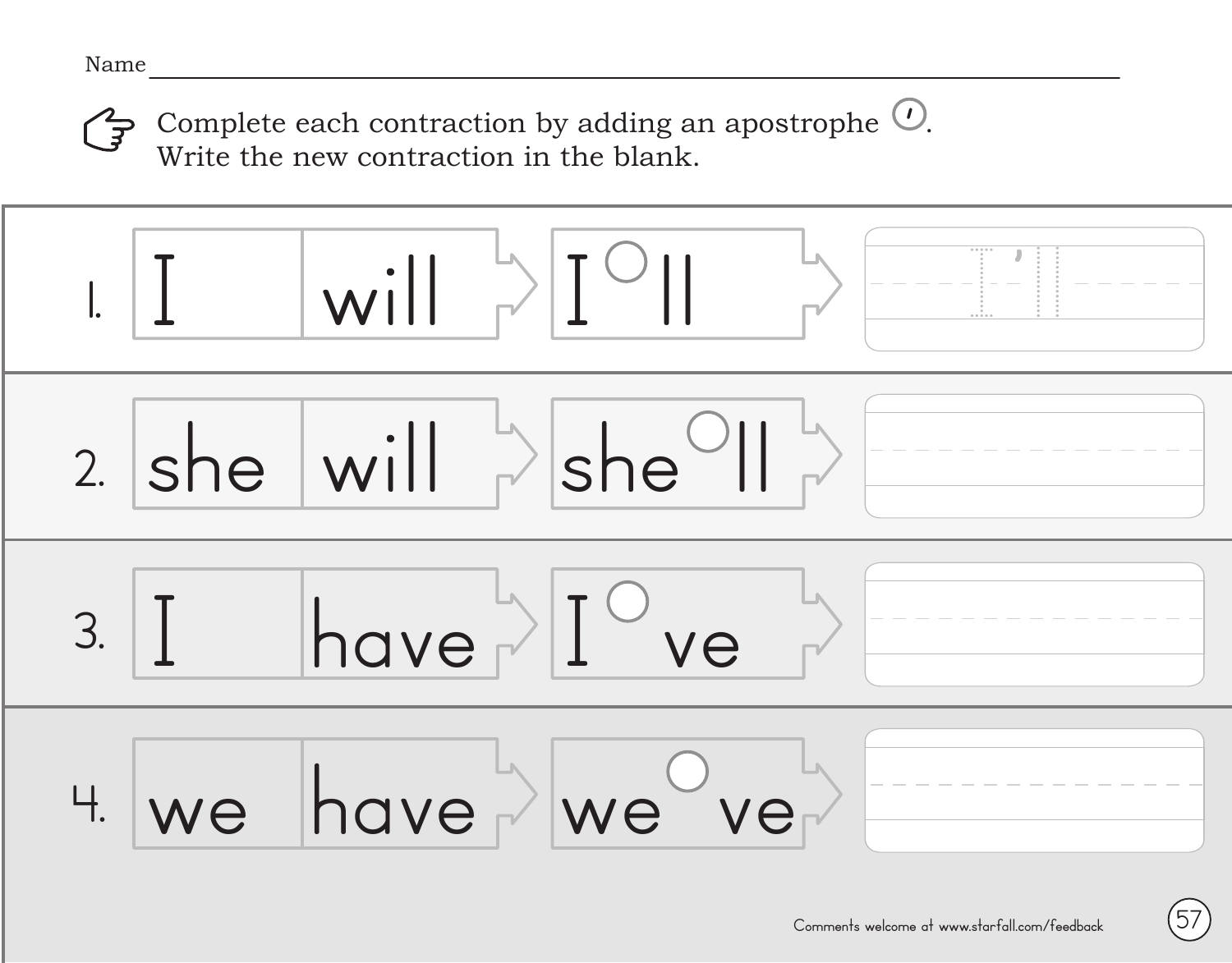Complete each contraction by adding an apostrophe  $\mathcal{O}$ . Write the new contraction in the blank. <u>'</u>



**57**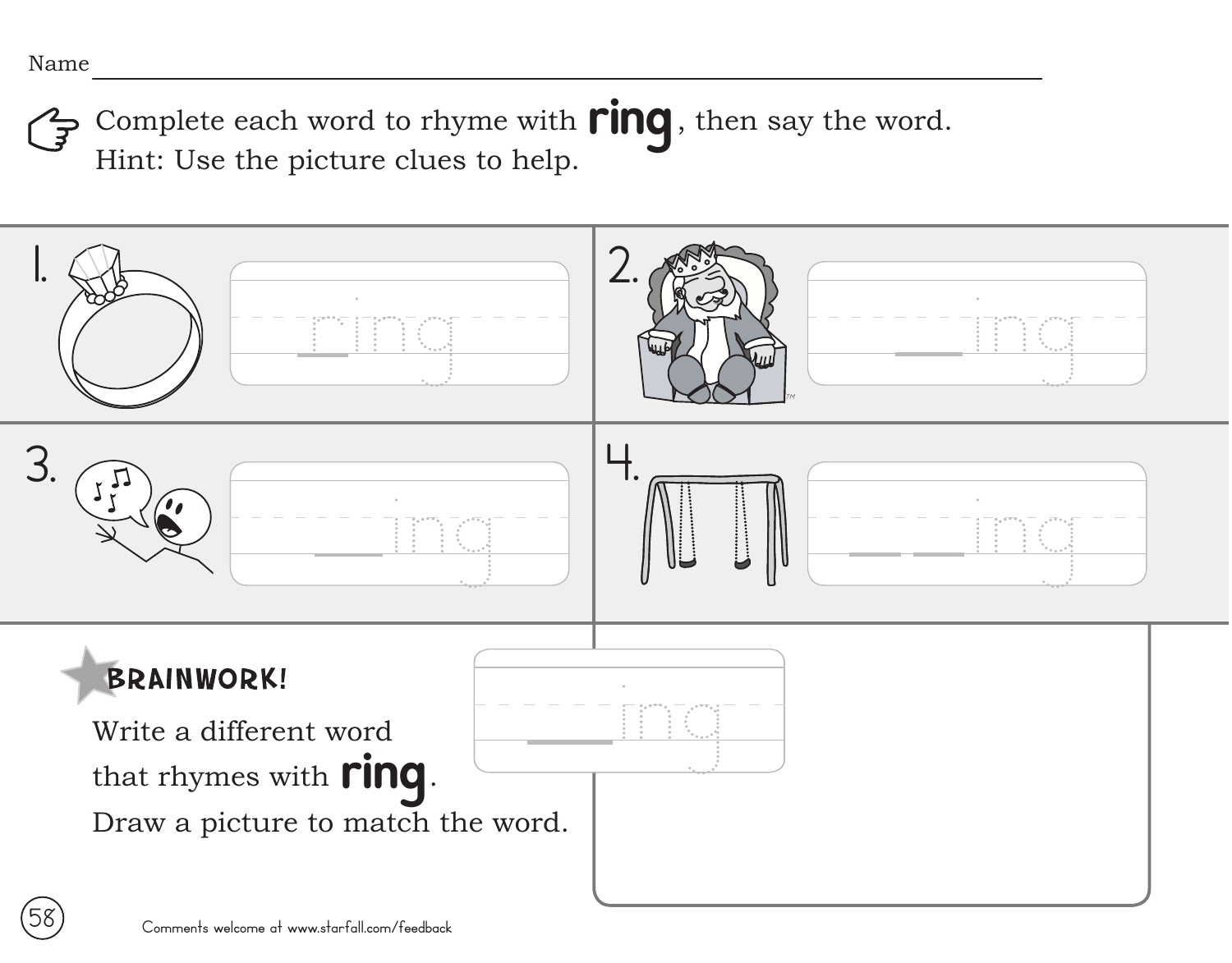Complete each word to rhyme with **ring**, then say the word. Hint: Use the picture clues to help.

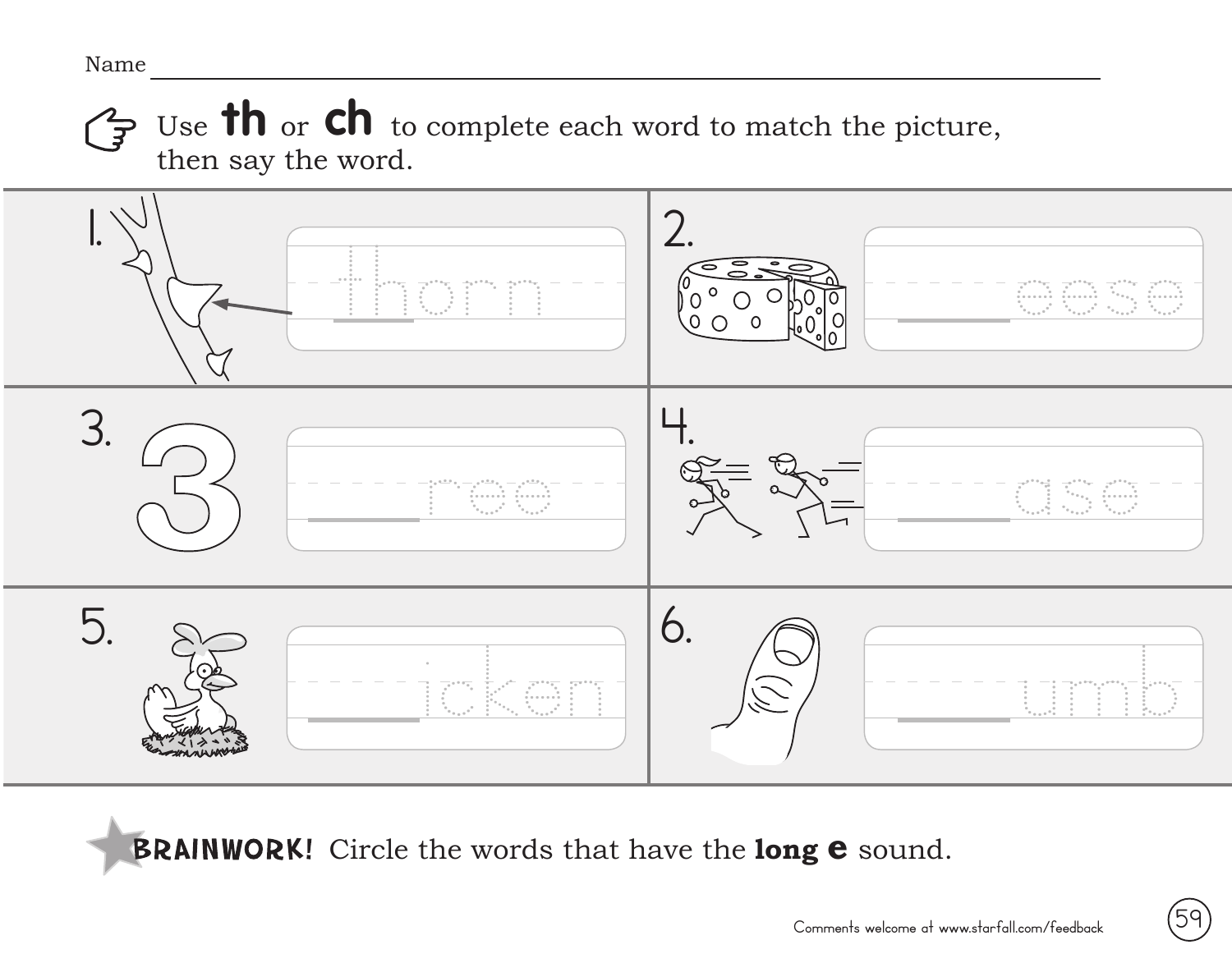Use **th** or **ch** to complete each word to match the picture,  $\mathbf{F}$ then say the word.



**BRAINWORK!** Circle the words that have the long **e** sound.

59